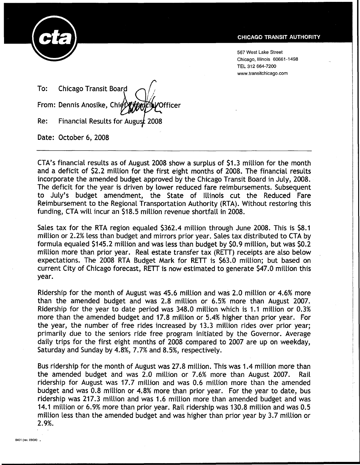

567 West Lake Street Chicago, Illinois 60661-1498 TEL 312 664-7200 www.transitchicago.com

To: Chicago Transit Board From: Dennis Anosike, Chi $\oint$ Officer Financial Results for August 2008 Re: Date: October 6, 2008

CTA's financial results as of August 2008 show a surplus of \$1.3 million for the month and a deficit of \$2.2 million for the first eight months of 2008. The financial results incorporate the amended budget approved by the Chicago Transit Board in July, 2008. The deficit for the year is driven by lower reduced fare reimbursements. Subsequent to July's budget amendment, the State of Illinois cut the Reduced Fare Reimbursement to the Regional Transportation Authority (RTA). Without restoring this funding, CTA will incur an \$18.5 million revenue shortfall in 2008.

Sales tax for the RTA region equaled \$362.4 million through June 2008. This is \$8.1 million or 2.2% less than budget and mirrors prior year. Sales tax distributed to CTA by formula equaled \$145.2 million and was less than budget by \$0.9 million, but was \$0.2 million more than prior year. Real estate transfer tax (RETT) receipts are also below expectations. The 2008 RTA Budget Mark for RETT is \$63.0 million; but based on current City of Chicago forecast, RETT is now estimated to generate \$47.0 million this year.

Ridership for the month of August was 45.6 million and was 2.0 million or 4.6% more than the amended budget and was 2.8 million or 6.5% more than August 2007. Ridership for the year to date period was 348.0 million which is 1.1 million or 0.3% more than the amended budget and 17.8 million or 5.4% higher than prior year. For the year, the number of free rides increased by 13.3 million rides over prior year; primarily due to the seniors ride free program initiated by the Governor. Average daily trips for the first eight months of 2008 compared to 2007 are up on weekday, Saturday and Sunday by 4.8%, 7.7% and 8.5%, respectively.

Bus ridership for the month of August was 27.8 million. This was 1.4 million more than the amended budget and was 2.0 million or 7.6% more than August 2007. Rail ridership for August was 17.7 million and was 0.6 million more than the amended budget and was 0.8 million or 4.8% more than prior year. For the year to date, bus ridership was 217.3 million and was 1.6 million more than amended budget and was 14.1 million or 6.9% more than prior year. Rail ridership was 130.8 million and was 0.5 million less than the amended budget and was higher than prior year by 3.7 million or 2.9%.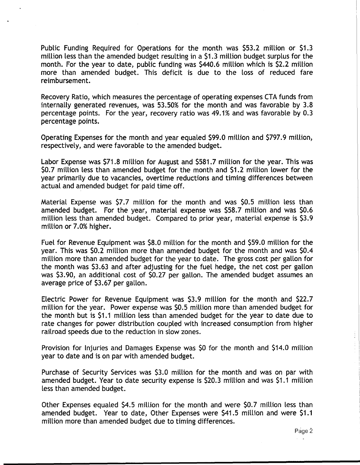Public Funding Required for Operations for the month was \$53.2 million or \$1.3 million less than the amended budget resulting in a \$1.3 million budget surplus for the month. For the year to date, public funding was \$440.6 million which is \$2.2 million more than amended budget. This deficit is due to the loss of reduced fare reimbursement.

Recovery Ratio, which measures the percentage of operating expenses CTA funds from internally generated revenues, was 53.50% for the month and was favorable by 3.8 percentage points. For the year, recovery ratio was 49.1% and was favorable by 0.3 percentage points.

Operating Expenses for the month and year equaled \$99.0 million and \$797.9 million, respectively, and were favorable to the amended budget.

Labor Expense was \$71.8 million for August and \$581.7 million for the year. This was \$0.7 million less than amended budget for the month and \$1.2 million lower for the year primarily due to vacancies, overtime reductions and timing differences between actual and amended budget for paid time off.

Material Expense was \$7.7 million for the month and was \$0.5 million less than amended budget. For the year, material expense was \$58.7 million and was \$0.6 million less than amended budget. Compared to prior year, material expense is \$3.9 million or 7.0% higher.

Fuel for Revenue Equipment was \$8.0 million for the month and \$59.0 million for the year. This was \$0.2 million more than amended budget for the month and was \$0.4 million more than amended budget for the year to date. The gross cost per gallon for the month was \$3.63 and after adjusting for the fuel hedge, the net cost per gallon was \$3.90, an additional cost of \$0.27 per gallon. The amended budget assumes an average price of \$3.67 per gallon.

Electric Power for Revenue Equipment was \$3.9 million for the month and \$22.7 million for the year. Power expense was \$0.5 million more than amended budget for the month but is \$1.1 million less than amended budget for the year to date due to rate changes for power distribution coupled with increased consumption from higher railroad speeds due to the reduction in slow zones.

Provision for Injuries and Damages Expense was \$0 for the month and \$14.0 million year to date and is on par with amended budget.

Purchase of Security Services was \$3.0 million for the month and was on par with amended budget. Year to date security expense is \$20.3 million and was \$1.1 million less than amended budget.

Other Expenses equaled \$4.5 million for the month and were \$0.7 million less than amended budget. Year to date, Other Expenses were \$41.5 million and were \$1.1 million more than amended budget due to timing differences.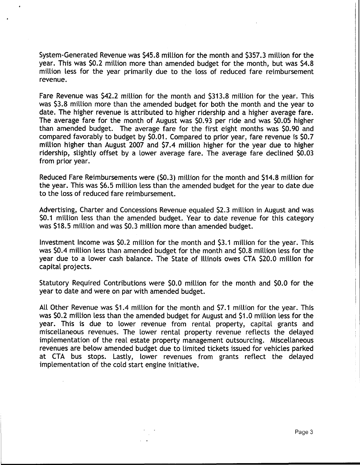System-Generated Revenue was \$45.8 million for the month and \$357.3 million for the year. This was \$0.2 million more than amended budget for the month, but was \$4.8 million less for the year primarily due to the loss of reduced fare reimbursement revenue.

Fare Revenue was \$42.2 million for the month and \$313.8 million for the year. This was \$3.8 million more than the amended budget for both the month and the year to date. The higher revenue is attributed to higher ridership and a higher average fare. The average fare for the month of August was \$0.93 per ride and was \$0.05 higher than amended budget. The average fare for the first eight months was \$0.90 and compared favorably to budget by \$0.01. Compared to prior year, fare revenue is \$0.7 million higher than August 2007 and \$7.4 million higher for the year due to higher ridership, slightly offset by a lower average fare. The average fare declined \$0.03 from prior year.

Reduced Fare Reimbursements were (\$0.3) million for the month and \$14.8 million for the year. This was \$6.5 million less than the amended budget for the year to date due to the loss of reduced fare reimbursement.

Advertising, Charter and Concessions Revenue equaled \$2.3 million in August and was \$0.1 million less than the amended budget. Year to date revenue for this category was \$18.5 million and was \$0.3 million more than amended budget.

Investment Income was \$0.2 million for the month and \$3.1 million for the year. This was \$0.4 million less than amended budget for the month and \$0.8 million less for the year due to a lower cash balance. The State of Illinois owes CTA \$20.0 million for capital projects.

Statutory Required Contributions were \$0.0 million for the month and \$0.0 for the year to date and were on par with amended budget.

All Other Revenue was \$1.4 million for the month and \$7.1 million for the year. This was \$0.2 million less than the amended budget for August and \$1.0 million less for the year. This is due to lower revenue from rental property, capital grants and miscellaneous revenues. The lower rental property revenue reflects the delayed implementation of the real estate property management outsourcing. Miscellaneous revenues are below amended budget due to limited tickets issued for vehicles parked at CTA bus stops. Lastly, lower revenues from grants reflect the delayed implementation of the cold start engine initiative.